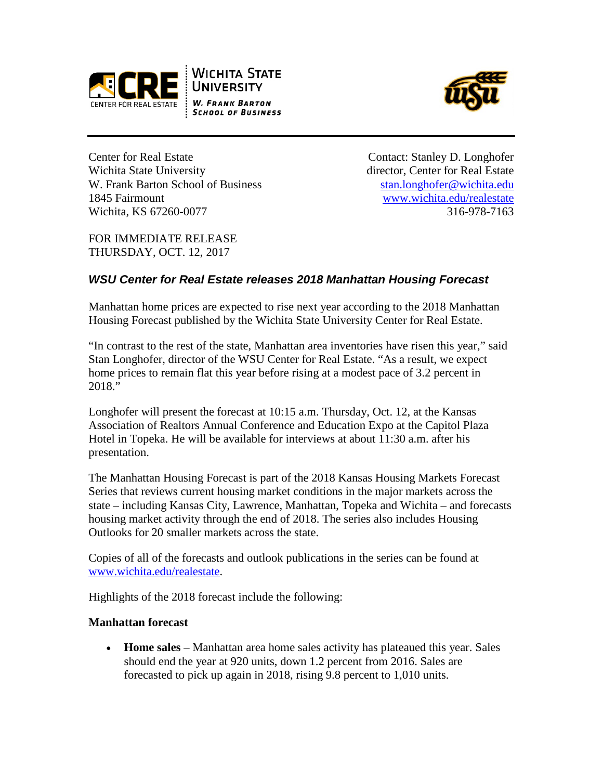



Center for Real Estate Contact: Stanley D. Longhofer Wichita State University **director**, Center for Real Estate W. Frank Barton School of Business [stan.longhofer@wichita.edu](mailto:stan.longhofer@wichita.edu) 1845 Fairmount [www.wichita.edu/realestate](http://www.wichita.edu/realestate) Wichita, KS 67260-0077 316-978-7163

FOR IMMEDIATE RELEASE THURSDAY, OCT. 12, 2017

# *WSU Center for Real Estate releases 2018 Manhattan Housing Forecast*

Manhattan home prices are expected to rise next year according to the 2018 Manhattan Housing Forecast published by the Wichita State University Center for Real Estate.

"In contrast to the rest of the state, Manhattan area inventories have risen this year," said Stan Longhofer, director of the WSU Center for Real Estate. "As a result, we expect home prices to remain flat this year before rising at a modest pace of 3.2 percent in 2018."

Longhofer will present the forecast at 10:15 a.m. Thursday, Oct. 12, at the Kansas Association of Realtors Annual Conference and Education Expo at the Capitol Plaza Hotel in Topeka. He will be available for interviews at about 11:30 a.m. after his presentation.

The Manhattan Housing Forecast is part of the 2018 Kansas Housing Markets Forecast Series that reviews current housing market conditions in the major markets across the state – including Kansas City, Lawrence, Manhattan, Topeka and Wichita – and forecasts housing market activity through the end of 2018. The series also includes Housing Outlooks for 20 smaller markets across the state.

Copies of all of the forecasts and outlook publications in the series can be found at [www.wichita.edu/realestate.](http://www.wichita.edu/realestate)

Highlights of the 2018 forecast include the following:

#### **Manhattan forecast**

• **Home sales** – Manhattan area home sales activity has plateaued this year. Sales should end the year at 920 units, down 1.2 percent from 2016. Sales are forecasted to pick up again in 2018, rising 9.8 percent to 1,010 units.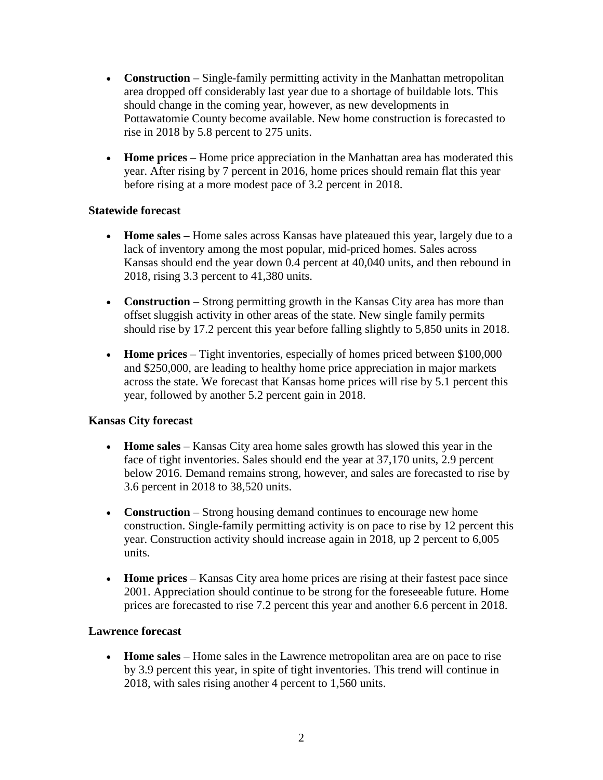- **Construction** Single-family permitting activity in the Manhattan metropolitan area dropped off considerably last year due to a shortage of buildable lots. This should change in the coming year, however, as new developments in Pottawatomie County become available. New home construction is forecasted to rise in 2018 by 5.8 percent to 275 units.
- **Home prices** Home price appreciation in the Manhattan area has moderated this year. After rising by 7 percent in 2016, home prices should remain flat this year before rising at a more modest pace of 3.2 percent in 2018.

#### **Statewide forecast**

- **Home sales** Home sales across Kansas have plateaued this year, largely due to a lack of inventory among the most popular, mid-priced homes. Sales across Kansas should end the year down 0.4 percent at 40,040 units, and then rebound in 2018, rising 3.3 percent to 41,380 units.
- **Construction** Strong permitting growth in the Kansas City area has more than offset sluggish activity in other areas of the state. New single family permits should rise by 17.2 percent this year before falling slightly to 5,850 units in 2018.
- **Home prices** Tight inventories, especially of homes priced between \$100,000 and \$250,000, are leading to healthy home price appreciation in major markets across the state. We forecast that Kansas home prices will rise by 5.1 percent this year, followed by another 5.2 percent gain in 2018.

## **Kansas City forecast**

- **Home sales** Kansas City area home sales growth has slowed this year in the face of tight inventories. Sales should end the year at 37,170 units, 2.9 percent below 2016. Demand remains strong, however, and sales are forecasted to rise by 3.6 percent in 2018 to 38,520 units.
- **Construction** Strong housing demand continues to encourage new home construction. Single-family permitting activity is on pace to rise by 12 percent this year. Construction activity should increase again in 2018, up 2 percent to 6,005 units.
- **Home prices** Kansas City area home prices are rising at their fastest pace since 2001. Appreciation should continue to be strong for the foreseeable future. Home prices are forecasted to rise 7.2 percent this year and another 6.6 percent in 2018.

## **Lawrence forecast**

• **Home sales** – Home sales in the Lawrence metropolitan area are on pace to rise by 3.9 percent this year, in spite of tight inventories. This trend will continue in 2018, with sales rising another 4 percent to 1,560 units.